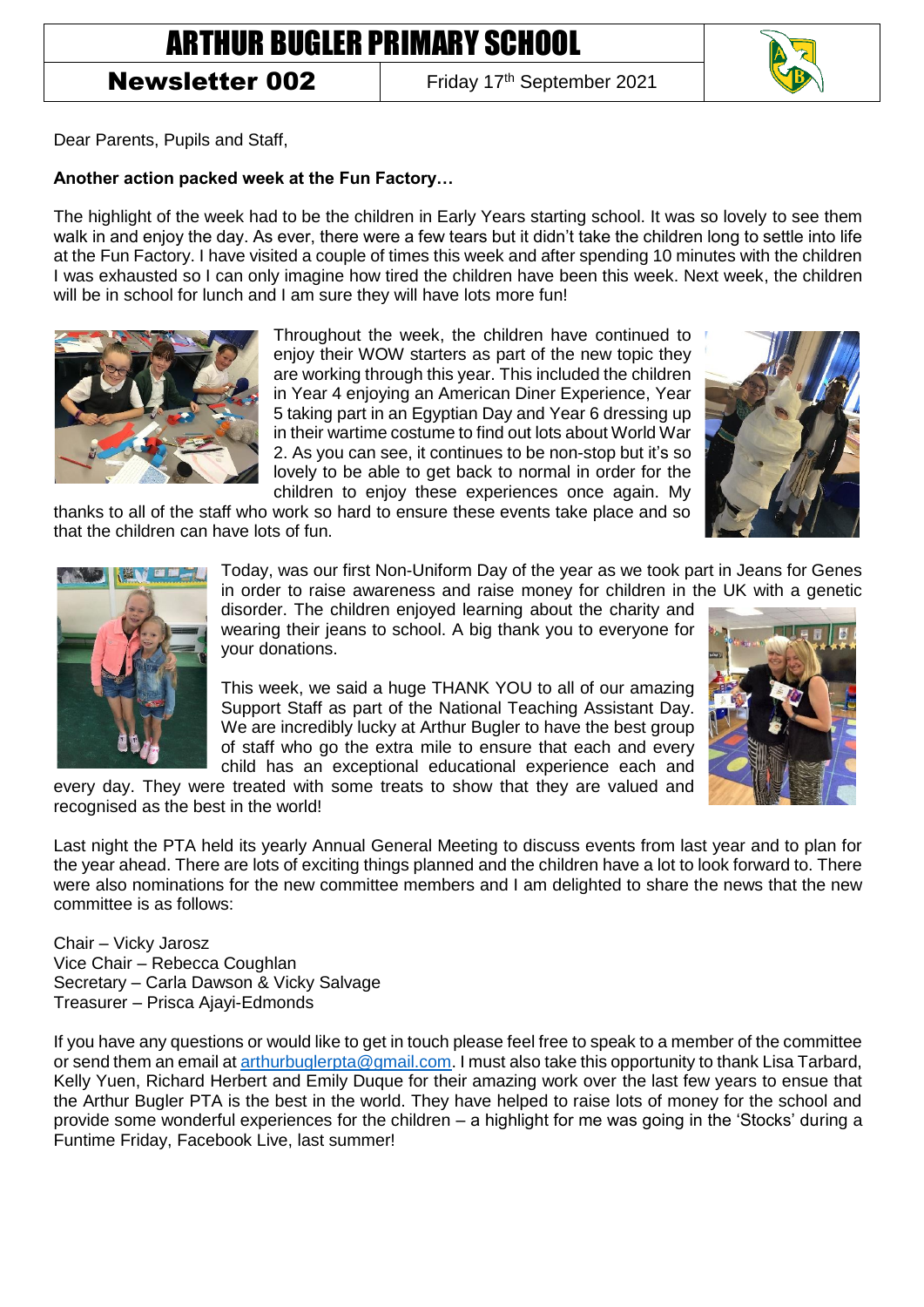# ARTHUR BUGLER PRIMARY SCHOOL

## Newsletter 002

Friday 17<sup>th</sup> September 2021



Dear Parents, Pupils and Staff,

#### **Another action packed week at the Fun Factory…**

The highlight of the week had to be the children in Early Years starting school. It was so lovely to see them walk in and enjoy the day. As ever, there were a few tears but it didn't take the children long to settle into life at the Fun Factory. I have visited a couple of times this week and after spending 10 minutes with the children I was exhausted so I can only imagine how tired the children have been this week. Next week, the children will be in school for lunch and I am sure they will have lots more fun!



Throughout the week, the children have continued to enjoy their WOW starters as part of the new topic they are working through this year. This included the children in Year 4 enjoying an American Diner Experience, Year 5 taking part in an Egyptian Day and Year 6 dressing up in their wartime costume to find out lots about World War 2. As you can see, it continues to be non-stop but it's so lovely to be able to get back to normal in order for the children to enjoy these experiences once again. My

thanks to all of the staff who work so hard to ensure these events take place and so that the children can have lots of fun.





Today, was our first Non-Uniform Day of the year as we took part in Jeans for Genes in order to raise awareness and raise money for children in the UK with a genetic

disorder. The children enjoyed learning about the charity and wearing their jeans to school. A big thank you to everyone for your donations.

This week, we said a huge THANK YOU to all of our amazing Support Staff as part of the National Teaching Assistant Day. We are incredibly lucky at Arthur Bugler to have the best group of staff who go the extra mile to ensure that each and every child has an exceptional educational experience each and



every day. They were treated with some treats to show that they are valued and recognised as the best in the world!

Last night the PTA held its yearly Annual General Meeting to discuss events from last year and to plan for the year ahead. There are lots of exciting things planned and the children have a lot to look forward to. There were also nominations for the new committee members and I am delighted to share the news that the new committee is as follows:

Chair – Vicky Jarosz Vice Chair – Rebecca Coughlan Secretary – Carla Dawson & Vicky Salvage Treasurer – Prisca Ajayi-Edmonds

If you have any questions or would like to get in touch please feel free to speak to a member of the committee or send them an email at [arthurbuglerpta@gmail.com.](mailto:arthurbuglerpta@gmail.com) I must also take this opportunity to thank Lisa Tarbard, Kelly Yuen, Richard Herbert and Emily Duque for their amazing work over the last few years to ensue that the Arthur Bugler PTA is the best in the world. They have helped to raise lots of money for the school and provide some wonderful experiences for the children – a highlight for me was going in the 'Stocks' during a Funtime Friday, Facebook Live, last summer!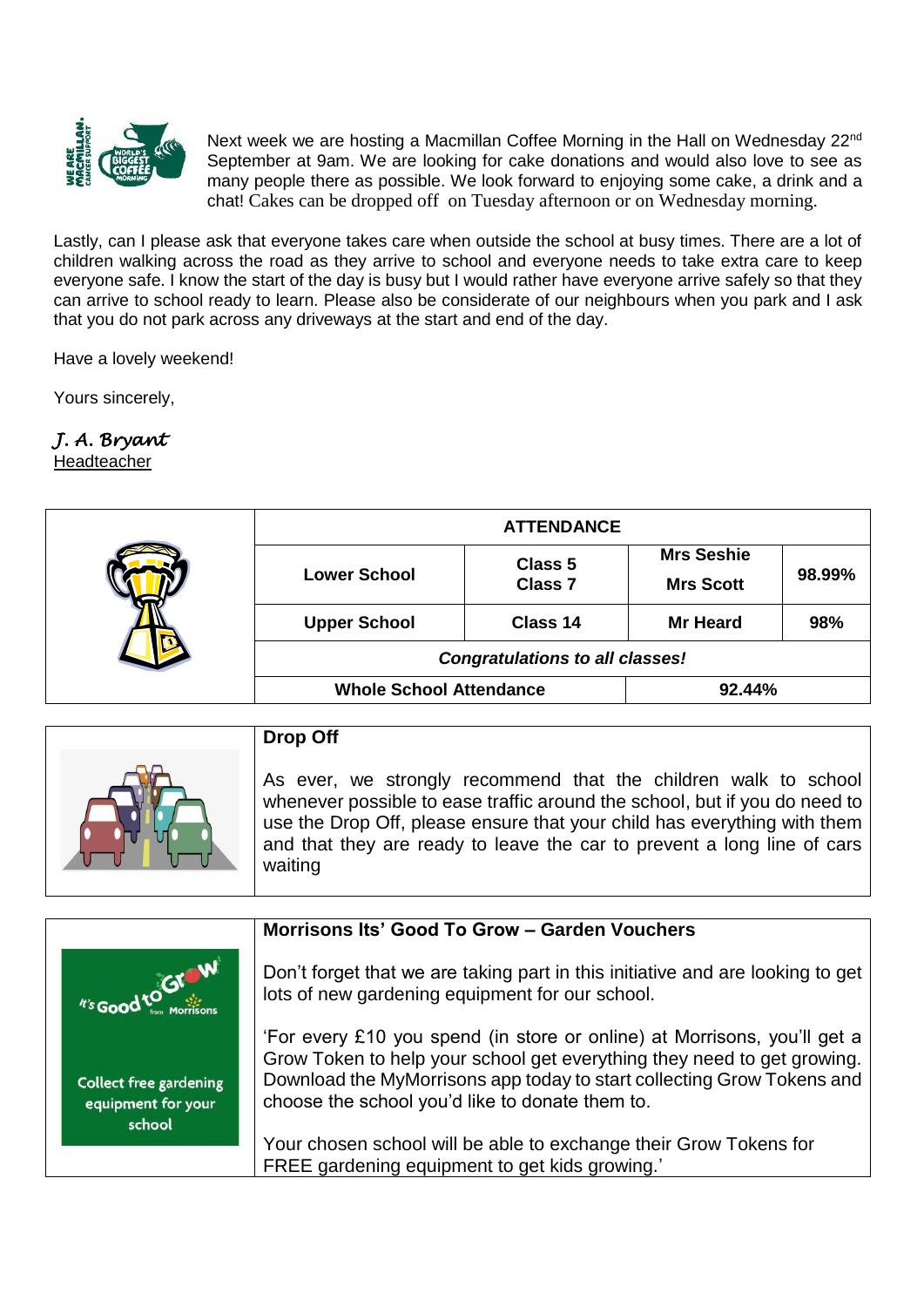

Next week we are hosting a Macmillan Coffee Morning in the Hall on Wednesday 22<sup>nd</sup> September at 9am. We are looking for cake donations and would also love to see as many people there as possible. We look forward to enjoying some cake, a drink and a chat! Cakes can be dropped off on Tuesday afternoon or on Wednesday morning.

Lastly, can I please ask that everyone takes care when outside the school at busy times. There are a lot of children walking across the road as they arrive to school and everyone needs to take extra care to keep everyone safe. I know the start of the day is busy but I would rather have everyone arrive safely so that they can arrive to school ready to learn. Please also be considerate of our neighbours when you park and I ask that you do not park across any driveways at the start and end of the day.

Have a lovely weekend!

Yours sincerely,

### *J. A. Bryant*

Headteacher

|  | <b>ATTENDANCE</b>                      |                           |                   |        |
|--|----------------------------------------|---------------------------|-------------------|--------|
|  | <b>Lower School</b>                    | Class 5<br><b>Class 7</b> | <b>Mrs Seshie</b> | 98.99% |
|  |                                        |                           | <b>Mrs Scott</b>  |        |
|  | <b>Upper School</b>                    | Class 14                  | <b>Mr Heard</b>   | 98%    |
|  | <b>Congratulations to all classes!</b> |                           |                   |        |
|  | <b>Whole School Attendance</b>         |                           | 92.44%            |        |
|  |                                        |                           |                   |        |

| <b>Drop Off</b>                                                                                                                                                                                                                                                                                                 |
|-----------------------------------------------------------------------------------------------------------------------------------------------------------------------------------------------------------------------------------------------------------------------------------------------------------------|
| As ever, we strongly recommend that the children walk to school<br>whenever possible to ease traffic around the school, but if you do need to<br>use the Drop Off, please ensure that your child has everything with them<br>and that they are ready to leave the car to prevent a long line of cars<br>waiting |

|                                                               | Morrisons Its' Good To Grow - Garden Vouchers                                                                                                                                                                                                                                    |
|---------------------------------------------------------------|----------------------------------------------------------------------------------------------------------------------------------------------------------------------------------------------------------------------------------------------------------------------------------|
| N's Good to GI W                                              | Don't forget that we are taking part in this initiative and are looking to get<br>lots of new gardening equipment for our school.                                                                                                                                                |
| <b>Collect free gardening</b><br>equipment for your<br>school | 'For every £10 you spend (in store or online) at Morrisons, you'll get a<br>Grow Token to help your school get everything they need to get growing.<br>Download the MyMorrisons app today to start collecting Grow Tokens and<br>choose the school you'd like to donate them to. |
|                                                               | Your chosen school will be able to exchange their Grow Tokens for<br>FREE gardening equipment to get kids growing.'                                                                                                                                                              |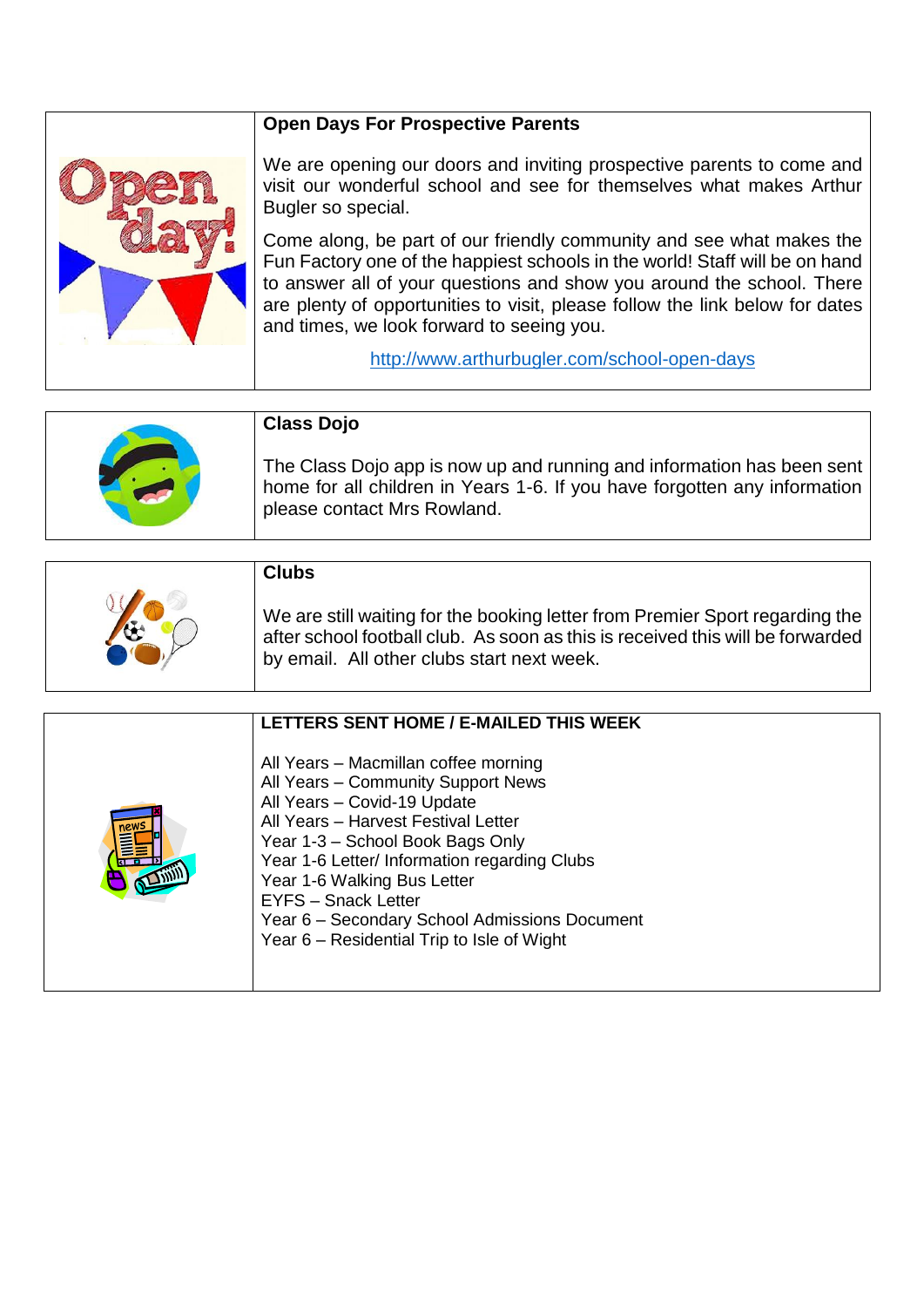#### **Open Days For Prospective Parents**



We are opening our doors and inviting prospective parents to come and visit our wonderful school and see for themselves what makes Arthur Bugler so special.

Come along, be part of our friendly community and see what makes the Fun Factory one of the happiest schools in the world! Staff will be on hand to answer all of your questions and show you around the school. There are plenty of opportunities to visit, please follow the link below for [dates](http://www.arthurbugler.com/school-open-days/dates-and-times.html)  [and times,](http://www.arthurbugler.com/school-open-days/dates-and-times.html) we look forward to seeing you.

<http://www.arthurbugler.com/school-open-days>

| <b>Class Dojo</b>                                                                                                                                                                  |
|------------------------------------------------------------------------------------------------------------------------------------------------------------------------------------|
| The Class Dojo app is now up and running and information has been sent<br>home for all children in Years 1-6. If you have forgotten any information<br>please contact Mrs Rowland. |

| <b>Clubs</b>                                                                                                                                                                                                 |
|--------------------------------------------------------------------------------------------------------------------------------------------------------------------------------------------------------------|
| We are still waiting for the booking letter from Premier Sport regarding the<br>after school football club. As soon as this is received this will be forwarded<br>by email. All other clubs start next week. |

| LETTERS SENT HOME / E-MAILED THIS WEEK                                                                                                                                                                                                                                                                                                                                                           |
|--------------------------------------------------------------------------------------------------------------------------------------------------------------------------------------------------------------------------------------------------------------------------------------------------------------------------------------------------------------------------------------------------|
| All Years - Macmillan coffee morning<br>All Years - Community Support News<br>All Years - Covid-19 Update<br>All Years - Harvest Festival Letter<br>Year 1-3 - School Book Bags Only<br>Year 1-6 Letter/ Information regarding Clubs<br>Year 1-6 Walking Bus Letter<br><b>EYFS</b> - Snack Letter<br>Year 6 - Secondary School Admissions Document<br>Year 6 – Residential Trip to Isle of Wight |